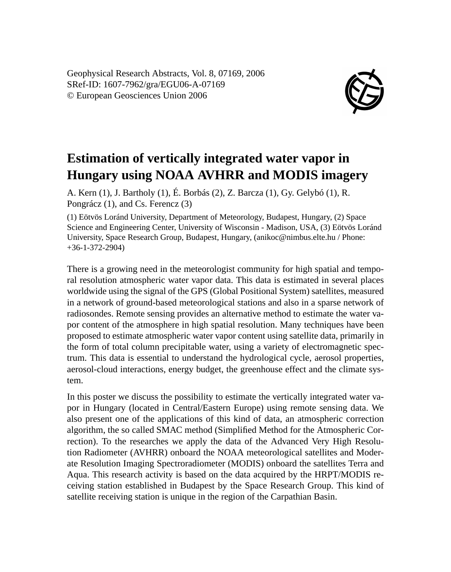Geophysical Research Abstracts, Vol. 8, 07169, 2006 SRef-ID: 1607-7962/gra/EGU06-A-07169 © European Geosciences Union 2006



## **Estimation of vertically integrated water vapor in Hungary using NOAA AVHRR and MODIS imagery**

A. Kern (1), J. Bartholy (1), É. Borbás (2), Z. Barcza (1), Gy. Gelybó (1), R. Pongrácz (1), and Cs. Ferencz (3)

(1) Eötvös Loránd University, Department of Meteorology, Budapest, Hungary, (2) Space Science and Engineering Center, University of Wisconsin - Madison, USA, (3) Eötvös Loránd University, Space Research Group, Budapest, Hungary, (anikoc@nimbus.elte.hu / Phone: +36-1-372-2904)

There is a growing need in the meteorologist community for high spatial and temporal resolution atmospheric water vapor data. This data is estimated in several places worldwide using the signal of the GPS (Global Positional System) satellites, measured in a network of ground-based meteorological stations and also in a sparse network of radiosondes. Remote sensing provides an alternative method to estimate the water vapor content of the atmosphere in high spatial resolution. Many techniques have been proposed to estimate atmospheric water vapor content using satellite data, primarily in the form of total column precipitable water, using a variety of electromagnetic spectrum. This data is essential to understand the hydrological cycle, aerosol properties, aerosol-cloud interactions, energy budget, the greenhouse effect and the climate system.

In this poster we discuss the possibility to estimate the vertically integrated water vapor in Hungary (located in Central/Eastern Europe) using remote sensing data. We also present one of the applications of this kind of data, an atmospheric correction algorithm, the so called SMAC method (Simplified Method for the Atmospheric Correction). To the researches we apply the data of the Advanced Very High Resolution Radiometer (AVHRR) onboard the NOAA meteorological satellites and Moderate Resolution Imaging Spectroradiometer (MODIS) onboard the satellites Terra and Aqua. This research activity is based on the data acquired by the HRPT/MODIS receiving station established in Budapest by the Space Research Group. This kind of satellite receiving station is unique in the region of the Carpathian Basin.